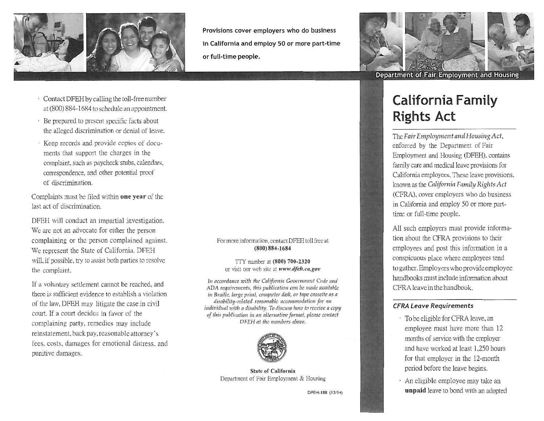

**Provisions cover employers who do business in California and employ 50 or more part-time or full-time people.**

- Contact DFEH by calling the toll-free number at(800) 884-1684 toschedule an appointment.
- Be prepared to present specific facts about the alleged discrimination or denial of leave.
- Keep records and provide copies of documents that support the charges in the complaint, such as paycheck stubs, calendars, correspondence, and other potential proof of discrimination.

Complaints must be filed within **one year** of the last act of discrimination.

DFEH will conduct an impartial investigation. Wc are not an advocate for either the person complaining or the person complained against. We represent the State of California. DFEH will, if possible, try to assist both parties to resolve the complaint.

If a voluntary settlement cannot be reached, and there is sufficient evidence to establish a violation of the law, DFEH may litigate the case in civil court. If a court decides in favor of the complaining party, remedies may include reinstatement, back pay,reasonable attorney's fees, costs, damages for emotional distress, and punitive damages.

#### For more information, contact DFEH toll free at **(800) 884-1684**

TTY number at **(800) 700-2320** or visit our web site at www.dfeh.ca.gov

*In accordance with the California Government Code and ADA requirements, this publication can be made available in Braille*, *large print, computer disk, or tape cassette as a disability-related reasonable accommodation for an individual with a disability. To discuss how to receive a copy of this publication in an alternative format, please contact D F E H at the. numbers above.*



State of California Department of Fair Employment & Housing

DFEH-188 (12/14)



# **California Family Rights Act**

The *Fair Employment* and *Housing Act*, enforced by the Department of Fair Employment and Housing (DFEH), contains family care and medical leave provisions for California employees.These leave provisions, known as the *California Family Rights Act* (CFRA), cover employers who do business in California and employ 50 or more parttime or full-time people.

All such employers must provide information about the CFRA provisions to their employees and post this information in a conspicuous place where employees tend togather.Employerswhoprovideemployee handbooks must include information about CFRAleavein the handbook.

### *CFRA Leave Requirements*

- To be eligible for CFRA leave, an employee must have more than 12 months of service with the employer and have worked at least 1,250 hours for that employer in the 12-month period before the leave begins.
- An eligible employee may take an **unpaid** leave to bond with an adopted